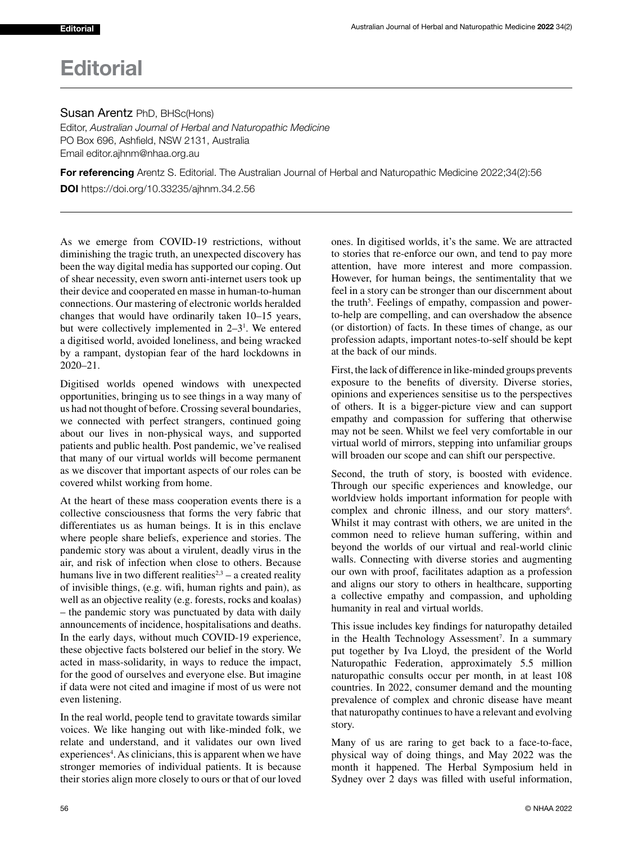## **Editorial**

Editor, *Australian Journal of Herbal and Naturopathic Medicine* PO Box 696, Ashfield, NSW 2131, Australia Email editor.ajhnm@nhaa.org.au

For referencing Arentz S. Editorial. The Australian Journal of Herbal and Naturopathic Medicine 2022;34(2):56

DOI https://doi.org/10.33235/ajhnm.34.2.56

As we emerge from COVID-19 restrictions, without diminishing the tragic truth, an unexpected discovery has been the way digital media has supported our coping. Out of shear necessity, even sworn anti-internet users took up their device and cooperated en masse in human-to-human connections. Our mastering of electronic worlds heralded changes that would have ordinarily taken 10–15 years, but were collectively implemented in  $2-3<sup>1</sup>$ . We entered a digitised world, avoided loneliness, and being wracked by a rampant, dystopian fear of the hard lockdowns in 2020–21.

Digitised worlds opened windows with unexpected opportunities, bringing us to see things in a way many of us had not thought of before. Crossing several boundaries, we connected with perfect strangers, continued going about our lives in non-physical ways, and supported patients and public health. Post pandemic, we've realised that many of our virtual worlds will become permanent as we discover that important aspects of our roles can be covered whilst working from home.

At the heart of these mass cooperation events there is a collective consciousness that forms the very fabric that differentiates us as human beings. It is in this enclave where people share beliefs, experience and stories. The pandemic story was about a virulent, deadly virus in the air, and risk of infection when close to others. Because humans live in two different realities<sup> $2,3$ </sup> – a created reality of invisible things, (e.g. wifi, human rights and pain), as well as an objective reality (e.g. forests, rocks and koalas) – the pandemic story was punctuated by data with daily announcements of incidence, hospitalisations and deaths. In the early days, without much COVID-19 experience, these objective facts bolstered our belief in the story. We acted in mass-solidarity, in ways to reduce the impact, for the good of ourselves and everyone else. But imagine if data were not cited and imagine if most of us were not even listening.

In the real world, people tend to gravitate towards similar voices. We like hanging out with like-minded folk, we relate and understand, and it validates our own lived experiences<sup>4</sup>. As clinicians, this is apparent when we have stronger memories of individual patients. It is because their stories align more closely to ours or that of our loved ones. In digitised worlds, it's the same. We are attracted to stories that re-enforce our own, and tend to pay more attention, have more interest and more compassion. However, for human beings, the sentimentality that we feel in a story can be stronger than our discernment about the truth<sup>5</sup>. Feelings of empathy, compassion and powerto-help are compelling, and can overshadow the absence (or distortion) of facts. In these times of change, as our profession adapts, important notes-to-self should be kept at the back of our minds.

First, the lack of difference in like-minded groups prevents exposure to the benefits of diversity. Diverse stories, opinions and experiences sensitise us to the perspectives of others. It is a bigger-picture view and can support empathy and compassion for suffering that otherwise may not be seen. Whilst we feel very comfortable in our virtual world of mirrors, stepping into unfamiliar groups will broaden our scope and can shift our perspective.

Second, the truth of story, is boosted with evidence. Through our specific experiences and knowledge, our worldview holds important information for people with complex and chronic illness, and our story matters<sup>6</sup>. Whilst it may contrast with others, we are united in the common need to relieve human suffering, within and beyond the worlds of our virtual and real-world clinic walls. Connecting with diverse stories and augmenting our own with proof, facilitates adaption as a profession and aligns our story to others in healthcare, supporting a collective empathy and compassion, and upholding humanity in real and virtual worlds.

This issue includes key findings for naturopathy detailed in the Health Technology Assessment<sup>7</sup>. In a summary put together by Iva Lloyd, the president of the World Naturopathic Federation, approximately 5.5 million naturopathic consults occur per month, in at least 108 countries. In 2022, consumer demand and the mounting prevalence of complex and chronic disease have meant that naturopathy continues to have a relevant and evolving story.

Many of us are raring to get back to a face-to-face, physical way of doing things, and May 2022 was the month it happened. The Herbal Symposium held in Sydney over 2 days was filled with useful information,